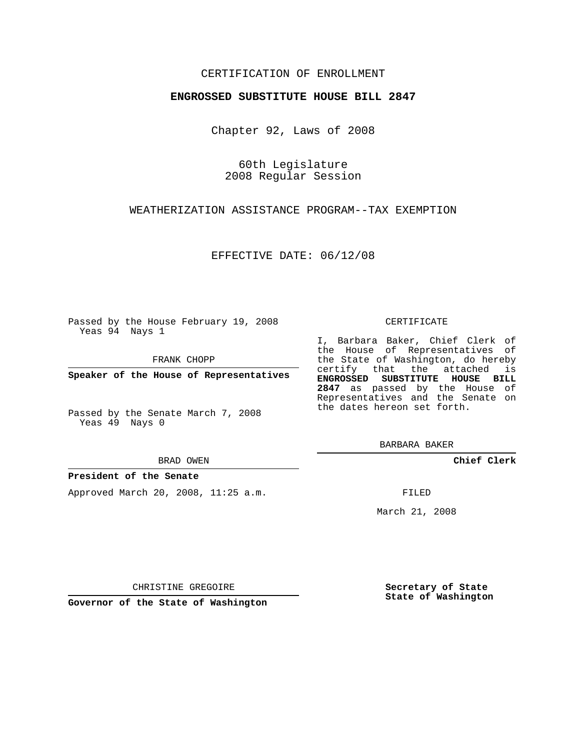# CERTIFICATION OF ENROLLMENT

## **ENGROSSED SUBSTITUTE HOUSE BILL 2847**

Chapter 92, Laws of 2008

60th Legislature 2008 Regular Session

WEATHERIZATION ASSISTANCE PROGRAM--TAX EXEMPTION

EFFECTIVE DATE: 06/12/08

Passed by the House February 19, 2008 Yeas 94 Nays 1

FRANK CHOPP

**Speaker of the House of Representatives**

Passed by the Senate March 7, 2008 Yeas 49 Nays 0

#### BRAD OWEN

## **President of the Senate**

Approved March 20, 2008, 11:25 a.m.

### CERTIFICATE

I, Barbara Baker, Chief Clerk of the House of Representatives of the State of Washington, do hereby certify that the attached is **ENGROSSED SUBSTITUTE HOUSE BILL 2847** as passed by the House of Representatives and the Senate on the dates hereon set forth.

BARBARA BAKER

**Chief Clerk**

FILED

March 21, 2008

CHRISTINE GREGOIRE

**Governor of the State of Washington**

**Secretary of State State of Washington**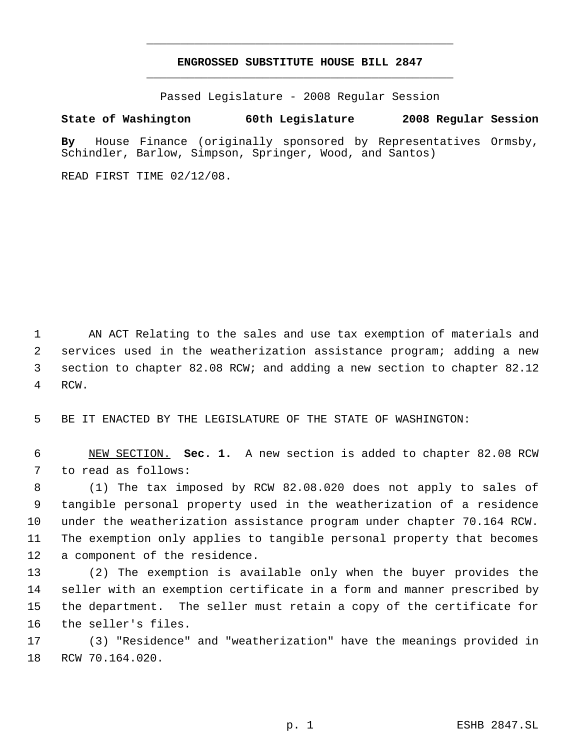# **ENGROSSED SUBSTITUTE HOUSE BILL 2847** \_\_\_\_\_\_\_\_\_\_\_\_\_\_\_\_\_\_\_\_\_\_\_\_\_\_\_\_\_\_\_\_\_\_\_\_\_\_\_\_\_\_\_\_\_

\_\_\_\_\_\_\_\_\_\_\_\_\_\_\_\_\_\_\_\_\_\_\_\_\_\_\_\_\_\_\_\_\_\_\_\_\_\_\_\_\_\_\_\_\_

Passed Legislature - 2008 Regular Session

## **State of Washington 60th Legislature 2008 Regular Session**

**By** House Finance (originally sponsored by Representatives Ormsby, Schindler, Barlow, Simpson, Springer, Wood, and Santos)

READ FIRST TIME 02/12/08.

 AN ACT Relating to the sales and use tax exemption of materials and services used in the weatherization assistance program; adding a new section to chapter 82.08 RCW; and adding a new section to chapter 82.12 RCW.

BE IT ENACTED BY THE LEGISLATURE OF THE STATE OF WASHINGTON:

 NEW SECTION. **Sec. 1.** A new section is added to chapter 82.08 RCW to read as follows:

 (1) The tax imposed by RCW 82.08.020 does not apply to sales of tangible personal property used in the weatherization of a residence under the weatherization assistance program under chapter 70.164 RCW. The exemption only applies to tangible personal property that becomes a component of the residence.

 (2) The exemption is available only when the buyer provides the seller with an exemption certificate in a form and manner prescribed by the department. The seller must retain a copy of the certificate for the seller's files.

 (3) "Residence" and "weatherization" have the meanings provided in RCW 70.164.020.